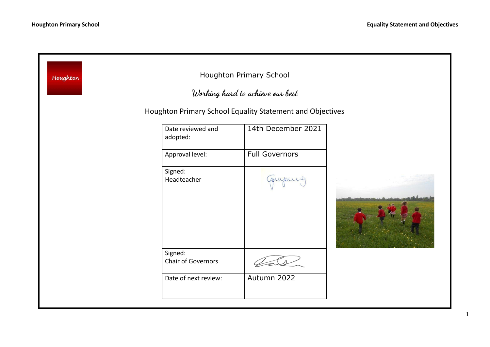| Houghton Primary School<br>Houghton<br>Working hard to achieve our best<br>Houghton Primary School Equality Statement and Objectives |                               |                       |  |
|--------------------------------------------------------------------------------------------------------------------------------------|-------------------------------|-----------------------|--|
|                                                                                                                                      | Date reviewed and<br>adopted: | 14th December 2021    |  |
|                                                                                                                                      | Approval level:               | <b>Full Governors</b> |  |
|                                                                                                                                      | Signed:<br>Headteacher        | upur                  |  |
|                                                                                                                                      | Signed:<br>Chair of Governors |                       |  |
|                                                                                                                                      | Date of next review:          | Autumn 2022           |  |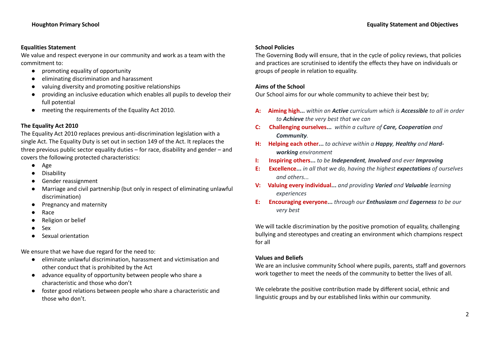# **Equalities Statement**

We value and respect everyone in our community and work as a team with the commitment to:

- promoting equality of opportunity
- eliminating discrimination and harassment
- valuing diversity and promoting positive relationships
- providing an inclusive education which enables all pupils to develop their full potential
- meeting the requirements of the Equality Act 2010.

# **The Equality Act 2010**

The Equality Act 2010 replaces previous anti-discrimination legislation with a single Act. The Equality Duty is set out in section 149 of the Act. It replaces the three previous public sector equality duties – for race, disability and gender – and covers the following protected characteristics:

- Age
- **Disability**
- Gender reassignment
- Marriage and civil partnership (but only in respect of eliminating unlawful discrimination)
- Pregnancy and maternity
- Race
- **Religion or belief**
- Sex
- **Sexual orientation**

We ensure that we have due regard for the need to:

- eliminate unlawful discrimination, harassment and victimisation and other conduct that is prohibited by the Act
- advance equality of opportunity between people who share a characteristic and those who don't
- foster good relations between people who share a characteristic and those who don't.

# **School Policies**

The Governing Body will ensure, that in the cycle of policy reviews, that policies and practices are scrutinised to identify the effects they have on individuals or groups of people in relation to equality.

# **Aims of the School**

Our School aims for our whole community to achieve their best by;

- **A: Aiming high...** *within an Active curriculum which is Accessible to all in order to Achieve the very best that we can*
- **C: Challenging ourselves...** *within a culture of Care, Cooperation and Community.*
- **H: Helping each other...** *to achieve within a Happy, Healthy and Hardworking environment*
- **I: Inspiring others...** *to be Independent, Involved and ever Improving*
- **E: Excellence...** *in all that we do, having the highest expectations of ourselves and others...*
- **V: Valuing every individual...** *and providing Varied and Valuable learning experiences*
- **E: Encouraging everyone...** *through our Enthusiasm and Eagerness to be our very best*

We will tackle discrimination by the positive promotion of equality, challenging bullying and stereotypes and creating an environment which champions respect for all

# **Values and Beliefs**

We are an inclusive community School where pupils, parents, staff and governors work together to meet the needs of the community to better the lives of all.

We celebrate the positive contribution made by different social, ethnic and linguistic groups and by our established links within our community.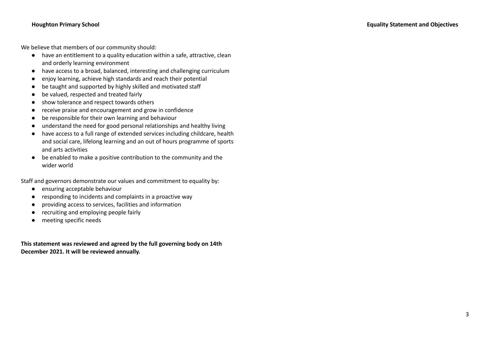We believe that members of our community should:

- have an entitlement to a quality education within a safe, attractive, clean and orderly learning environment
- have access to a broad, balanced, interesting and challenging curriculum
- enjoy learning, achieve high standards and reach their potential
- be taught and supported by highly skilled and motivated staff
- be valued, respected and treated fairly
- show tolerance and respect towards others
- receive praise and encouragement and grow in confidence
- be responsible for their own learning and behaviour
- understand the need for good personal relationships and healthy living
- have access to a full range of extended services including childcare, health and social care, lifelong learning and an out of hours programme of sports and arts activities
- be enabled to make a positive contribution to the community and the wider world

Staff and governors demonstrate our values and commitment to equality by:

- ensuring acceptable behaviour
- responding to incidents and complaints in a proactive way
- providing access to services, facilities and information
- recruiting and employing people fairly
- **●** meeting specific needs

**This statement was reviewed and agreed by the full governing body on 14th December 2021. It will be reviewed annually.**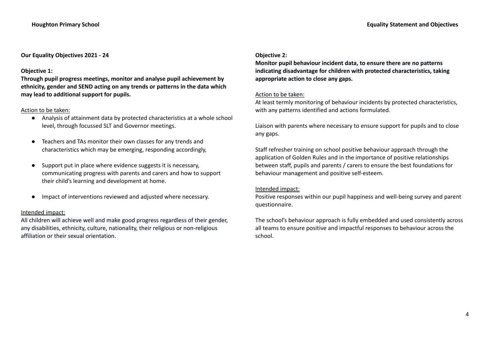# **Our Equality Objectives 2021 - 24**

### **Objective 1:**

**Through pupil progress meetings, monitor and analyse pupil achievement by ethnicity, gender and SEND acting on any trends or patterns in the data which may lead to additional support for pupils.**

#### Action to be taken:

- Analysis of attainment data by protected characteristics at a whole school level, through focussed SLT and Governor meetings.
- Teachers and TAs monitor their own classes for any trends and characteristics which may be emerging, responding accordingly,
- Support put in place where evidence suggests it is necessary, communicating progress with parents and carers and how to support their child's learning and development at home.
- Impact of interventions reviewed and adjusted where necessary.

## Intended impact:

All children will achieve well and make good progress regardless of their gender, any disabilities, ethnicity, culture, nationality, their religious or non-religious affiliation or their sexual orientation.

### **Objective 2:**

**Monitor pupil behaviour incident data, to ensure there are no patterns indicating disadvantage for children with protected characteristics, taking appropriate action to close any gaps.**

#### Action to be taken:

At least termly monitoring of behaviour incidents by protected characteristics, with any patterns identified and actions formulated.

Liaison with parents where necessary to ensure support for pupils and to close any gaps.

Staff refresher training on school positive behaviour approach through the application of Golden Rules and in the importance of positive relationships between staff, pupils and parents / carers to ensure the best foundations for behaviour management and positive self-esteem.

## Intended impact:

Positive responses within our pupil happiness and well-being survey and parent questionnaire.

The school's behaviour approach is fully embedded and used consistently across all teams to ensure positive and impactful responses to behaviour across the school.